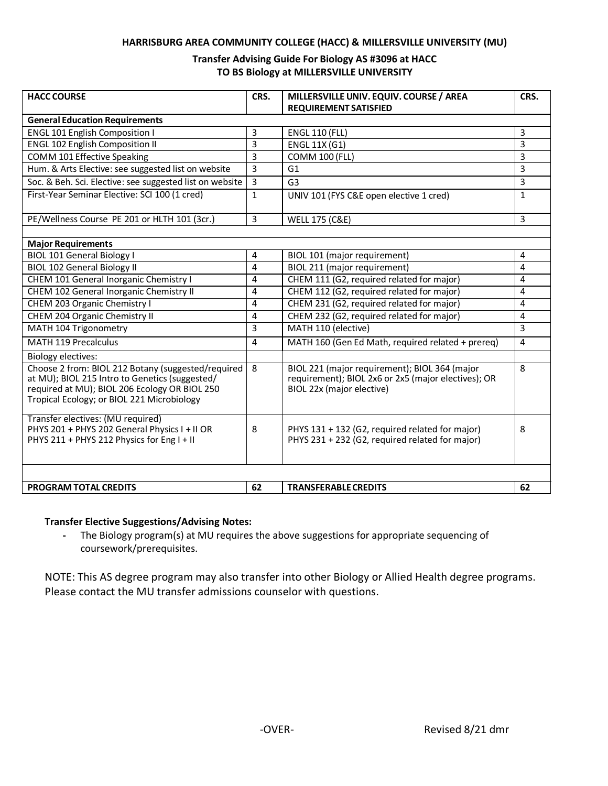### **HARRISBURG AREA COMMUNITY COLLEGE (HACC) & MILLERSVILLE UNIVERSITY (MU)**

### **Transfer Advising Guide For Biology AS #3096 at HACC TO BS Biology at MILLERSVILLE UNIVERSITY**

| <b>HACC COURSE</b>                                                                                                                                                                                  | CRS.           | MILLERSVILLE UNIV. EQUIV. COURSE / AREA<br><b>REQUIREMENT SATISFIED</b>                                                           | CRS.           |
|-----------------------------------------------------------------------------------------------------------------------------------------------------------------------------------------------------|----------------|-----------------------------------------------------------------------------------------------------------------------------------|----------------|
| <b>General Education Requirements</b>                                                                                                                                                               |                |                                                                                                                                   |                |
| <b>ENGL 101 English Composition I</b>                                                                                                                                                               | 3              | <b>ENGL 110 (FLL)</b>                                                                                                             | 3              |
| <b>ENGL 102 English Composition II</b>                                                                                                                                                              | 3              | <b>ENGL 11X (G1)</b>                                                                                                              | 3              |
| COMM 101 Effective Speaking                                                                                                                                                                         | 3              | <b>COMM 100 (FLL)</b>                                                                                                             | 3              |
| Hum. & Arts Elective: see suggested list on website                                                                                                                                                 | 3              | G <sub>1</sub>                                                                                                                    | 3              |
| Soc. & Beh. Sci. Elective: see suggested list on website                                                                                                                                            | $\overline{3}$ | G <sub>3</sub>                                                                                                                    | 3              |
| First-Year Seminar Elective: SCI 100 (1 cred)                                                                                                                                                       | $\mathbf{1}$   | UNIV 101 (FYS C&E open elective 1 cred)                                                                                           | $\mathbf{1}$   |
| PE/Wellness Course PE 201 or HLTH 101 (3cr.)                                                                                                                                                        | $\overline{3}$ | <b>WELL 175 (C&amp;E)</b>                                                                                                         | $\overline{3}$ |
|                                                                                                                                                                                                     |                |                                                                                                                                   |                |
| <b>Major Requirements</b>                                                                                                                                                                           |                |                                                                                                                                   |                |
| <b>BIOL 101 General Biology I</b>                                                                                                                                                                   | 4              | BIOL 101 (major requirement)                                                                                                      | 4              |
| <b>BIOL 102 General Biology II</b>                                                                                                                                                                  | 4              | BIOL 211 (major requirement)                                                                                                      | 4              |
| CHEM 101 General Inorganic Chemistry I                                                                                                                                                              | 4              | CHEM 111 (G2, required related for major)                                                                                         | 4              |
| CHEM 102 General Inorganic Chemistry II                                                                                                                                                             | 4              | CHEM 112 (G2, required related for major)                                                                                         | 4              |
| CHEM 203 Organic Chemistry I                                                                                                                                                                        | 4              | CHEM 231 (G2, required related for major)                                                                                         | 4              |
| CHEM 204 Organic Chemistry II                                                                                                                                                                       | 4              | CHEM 232 (G2, required related for major)                                                                                         | 4              |
| MATH 104 Trigonometry                                                                                                                                                                               | 3              | MATH 110 (elective)                                                                                                               | $\overline{3}$ |
| <b>MATH 119 Precalculus</b>                                                                                                                                                                         | 4              | MATH 160 (Gen Ed Math, required related + prereq)                                                                                 | $\overline{4}$ |
| <b>Biology electives:</b>                                                                                                                                                                           |                |                                                                                                                                   |                |
| Choose 2 from: BIOL 212 Botany (suggested/required<br>at MU); BIOL 215 Intro to Genetics (suggested/<br>required at MU); BIOL 206 Ecology OR BIOL 250<br>Tropical Ecology; or BIOL 221 Microbiology | 8              | BIOL 221 (major requirement); BIOL 364 (major<br>requirement); BIOL 2x6 or 2x5 (major electives); OR<br>BIOL 22x (major elective) | 8              |
| Transfer electives: (MU required)<br>PHYS 201 + PHYS 202 General Physics I + II OR<br>PHYS 211 + PHYS 212 Physics for Eng I + II                                                                    | 8              | PHYS 131 + 132 (G2, required related for major)<br>PHYS 231 + 232 (G2, required related for major)                                | 8              |
| <b>PROGRAM TOTAL CREDITS</b>                                                                                                                                                                        | 62             | <b>TRANSFERABLE CREDITS</b>                                                                                                       | 62             |

# **Transfer Elective Suggestions/Advising Notes:**

**-** The Biology program(s) at MU requires the above suggestions for appropriate sequencing of coursework/prerequisites.

NOTE: This AS degree program may also transfer into other Biology or Allied Health degree programs. Please contact the MU transfer admissions counselor with questions.